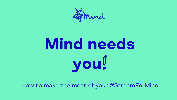

# Mind needs you!

How to make the most of your #StreamForMind

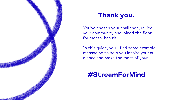

#### Thank you.

You've chosen your challenge, rallied your community and joined the fight for mental health.

In this guide, you'll find some example messaging to help you inspire your audience and make the most of your...

#### #StreamForMind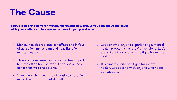### The Cause

You've joined the fight for mental health, but how should you talk about the cause with your audience? Here are some ideas to get you started.

- Mental health problems can affect one in four of us, so join my stream and help fight for mental health.
- Those of us experiencing a mental health prob-• lem can often feel isolated. Let's show each other that we're not alone.
- If you know how real the struggle can be… join me in the fight for mental health.

Let's show everyone experiencing a mental • health problem that they're not alone. Let's stand together and join the fight for mental

It's time to unite and fight for mental •health. Let's stand with anyone who needs

- health.
- our support.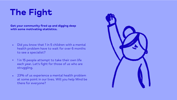## The Fight

Get your community fired up and digging deep with some motivating statistics.

- Did you know that 1 in 5 children with a mental health problem have to wait for over 6 months to see a specialist?  $\bullet$
- 1 in 15 people attempt to take their own life each year. Let's fight for those of us who are struggling. •
- 23% of us experience a mental health problem at some point in our lives. Will you help Mind be there for everyone? •

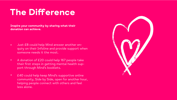### The Difference

- Just £8 could help Mind answer another enquiry on their Infoline and provide support when someone needs it the most.  $\bullet$
- A donation of £20 could help 167 people take their first steps in getting mental health support through Mind's booklets.  $\bullet$
- £40 could help keep Mind's supportive online community, Side by Side, open for another hour, helping people connect with others and feel less alone.  $\bullet$



Inspire your community by sharing what their donation can achieve.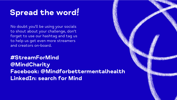#### Spread the word!

No doubt you'll be using your socials to shout about your challenge, don't forget to use our hashtag and tag us to help us get even more streamers and creators on-board.

#StreamForMind @MindCharity Facebook: @Mindforbettermentalhealth LinkedIn: search for Mind

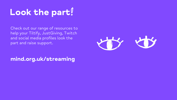mind.org.uk/streaming



## Look the part!

Check out our range of resources to help your Tiltify, JustGiving, Twitch and social media profiles look the part and raise support.